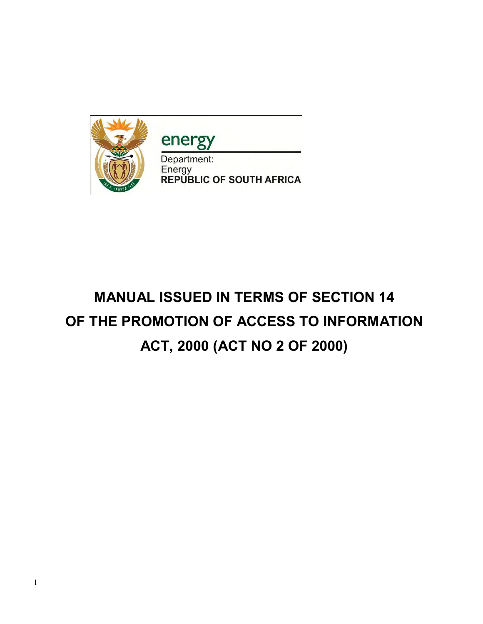

energy

Department: Energy<br>REPUBLIC OF SOUTH AFRICA

# **MANUAL ISSUED IN TERMS OF SECTION 14 OF THE PROMOTION OF ACCESS TO INFORMATION ACT, 2000 (ACT NO 2 OF 2000)**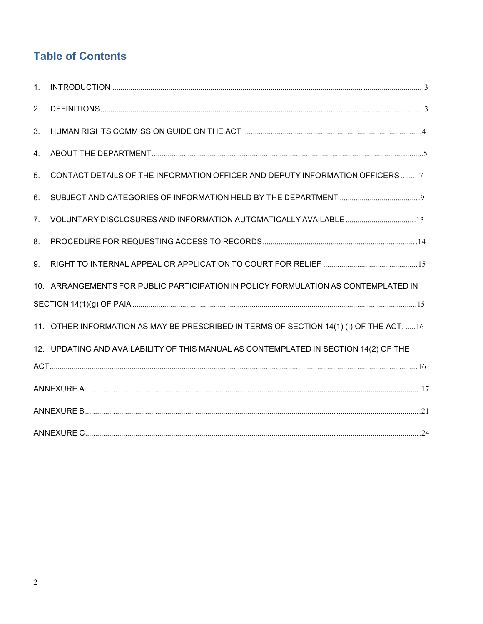# **Table of Contents**

| 1. |                                                                                                                                                                                                                                                                                                                                                                                                                                                                                                                                                                            |  |
|----|----------------------------------------------------------------------------------------------------------------------------------------------------------------------------------------------------------------------------------------------------------------------------------------------------------------------------------------------------------------------------------------------------------------------------------------------------------------------------------------------------------------------------------------------------------------------------|--|
| 2. | $\textsf{DEFINITIONS} \textcolor{red}{\texttt{min}} \textcolor{red}{\texttt{min}} \textcolor{red}{\texttt{min}} \textcolor{red}{\texttt{min}} \textcolor{red}{\texttt{min}} \textcolor{red}{\texttt{min}} \textcolor{red}{\texttt{min}} \textcolor{red}{\texttt{min}} \textcolor{red}{\texttt{min}} \textcolor{red}{\texttt{min}} \textcolor{red}{\texttt{min}} \textcolor{red}{\texttt{min}} \textcolor{red}{\texttt{min}} \textcolor{red}{\texttt{min}} \textcolor{red}{\texttt{min}} \textcolor{red}{\texttt{min}} \textcolor{red}{\texttt{min}} \textcolor{red}{\text$ |  |
| 3. |                                                                                                                                                                                                                                                                                                                                                                                                                                                                                                                                                                            |  |
| 4. |                                                                                                                                                                                                                                                                                                                                                                                                                                                                                                                                                                            |  |
| 5. | CONTACT DETAILS OF THE INFORMATION OFFICER AND DEPUTY INFORMATION OFFICERS 7                                                                                                                                                                                                                                                                                                                                                                                                                                                                                               |  |
| 6. |                                                                                                                                                                                                                                                                                                                                                                                                                                                                                                                                                                            |  |
| 7. |                                                                                                                                                                                                                                                                                                                                                                                                                                                                                                                                                                            |  |
| 8. |                                                                                                                                                                                                                                                                                                                                                                                                                                                                                                                                                                            |  |
| 9. |                                                                                                                                                                                                                                                                                                                                                                                                                                                                                                                                                                            |  |
|    | 10. ARRANGEMENTS FOR PUBLIC PARTICIPATION IN POLICY FORMULATION AS CONTEMPLATED IN                                                                                                                                                                                                                                                                                                                                                                                                                                                                                         |  |
|    |                                                                                                                                                                                                                                                                                                                                                                                                                                                                                                                                                                            |  |
|    | 11. OTHER INFORMATION AS MAY BE PRESCRIBED IN TERMS OF SECTION 14(1) (I) OF THE ACT. 16                                                                                                                                                                                                                                                                                                                                                                                                                                                                                    |  |
|    | 12. UPDATING AND AVAILABILITY OF THIS MANUAL AS CONTEMPLATED IN SECTION 14(2) OF THE                                                                                                                                                                                                                                                                                                                                                                                                                                                                                       |  |
|    |                                                                                                                                                                                                                                                                                                                                                                                                                                                                                                                                                                            |  |
|    |                                                                                                                                                                                                                                                                                                                                                                                                                                                                                                                                                                            |  |
|    |                                                                                                                                                                                                                                                                                                                                                                                                                                                                                                                                                                            |  |
|    |                                                                                                                                                                                                                                                                                                                                                                                                                                                                                                                                                                            |  |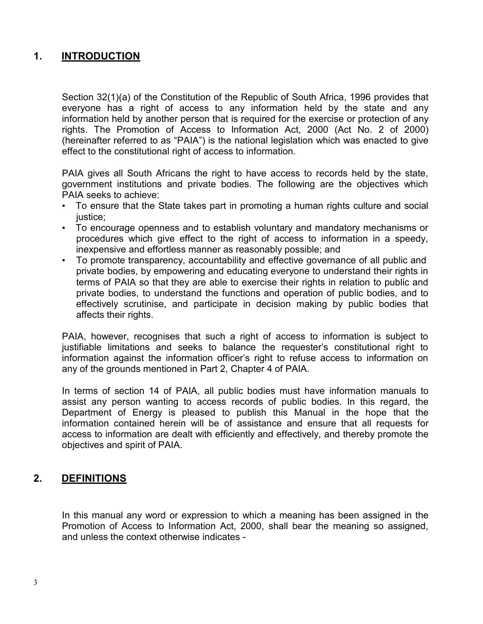# **1. INTRODUCTION**

Section 32(1)(a) of the Constitution of the Republic of South Africa, 1996 provides that everyone has a right of access to any information held by the state and any information held by another person that is required for the exercise or protection of any rights. The Promotion of Access to Information Act, 2000 (Act No. 2 of 2000) (hereinafter referred to as "PAIA") is the national legislation which was enacted to give effect to the constitutional right of access to information.

PAIA gives all South Africans the right to have access to records held by the state, government institutions and private bodies. The following are the objectives which PAIA seeks to achieve:

- To ensure that the State takes part in promoting a human rights culture and social justice;
- To encourage openness and to establish voluntary and mandatory mechanisms or procedures which give effect to the right of access to information in a speedy, inexpensive and effortless manner as reasonably possible; and
- To promote transparency, accountability and effective governance of all public and private bodies, by empowering and educating everyone to understand their rights in terms of PAIA so that they are able to exercise their rights in relation to public and private bodies, to understand the functions and operation of public bodies, and to effectively scrutinise, and participate in decision making by public bodies that affects their rights.

PAIA, however, recognises that such a right of access to information is subject to justifiable limitations and seeks to balance the requester's constitutional right to information against the information officer's right to refuse access to information on any of the grounds mentioned in Part 2, Chapter 4 of PAIA.

In terms of section 14 of PAIA, all public bodies must have information manuals to assist any person wanting to access records of public bodies. In this regard, the Department of Energy is pleased to publish this Manual in the hope that the information contained herein will be of assistance and ensure that all requests for access to information are dealt with efficiently and effectively, and thereby promote the objectives and spirit of PAIA.

## **2. DEFINITIONS**

In this manual any word or expression to which a meaning has been assigned in the Promotion of Access to Information Act, 2000, shall bear the meaning so assigned, and unless the context otherwise indicates -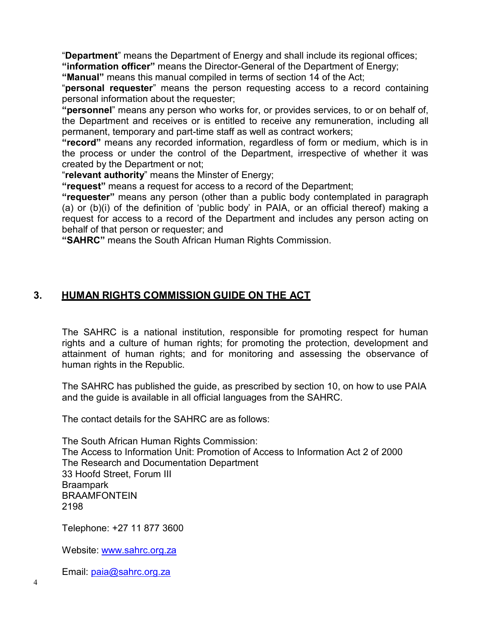"**Department**" means the Department of Energy and shall include its regional offices; **"information officer"** means the Director-General of the Department of Energy;

**"Manual"** means this manual compiled in terms of section 14 of the Act;

"**personal requester**" means the person requesting access to a record containing personal information about the requester;

**"personnel**" means any person who works for, or provides services, to or on behalf of, the Department and receives or is entitled to receive any remuneration, including all permanent, temporary and part-time staff as well as contract workers;

**"record"** means any recorded information, regardless of form or medium, which is in the process or under the control of the Department, irrespective of whether it was created by the Department or not;

"**relevant authority**" means the Minster of Energy;

**"request"** means a request for access to a record of the Department;

**"requester"** means any person (other than a public body contemplated in paragraph (a) or (b)(i) of the definition of 'public body' in PAIA, or an official thereof) making a request for access to a record of the Department and includes any person acting on behalf of that person or requester; and

**"SAHRC"** means the South African Human Rights Commission.

# **3. HUMAN RIGHTS COMMISSION GUIDE ON THE ACT**

The SAHRC is a national institution, responsible for promoting respect for human rights and a culture of human rights; for promoting the protection, development and attainment of human rights; and for monitoring and assessing the observance of human rights in the Republic.

The SAHRC has published the guide, as prescribed by section 10, on how to use PAIA and the guide is available in all official languages from the SAHRC.

The contact details for the SAHRC are as follows:

The South African Human Rights Commission: The Access to Information Unit: Promotion of Access to Information Act 2 of 2000 The Research and Documentation Department 33 Hoofd Street, Forum III Braampark **BRAAMFONTFIN** 2198

Telephone: +27 11 877 3600

Website: [www.sahrc.org.za](http://www.sahrc.org.za/)

Email: [paia@sahrc.org.za](mailto:paia@sahrc.org.za)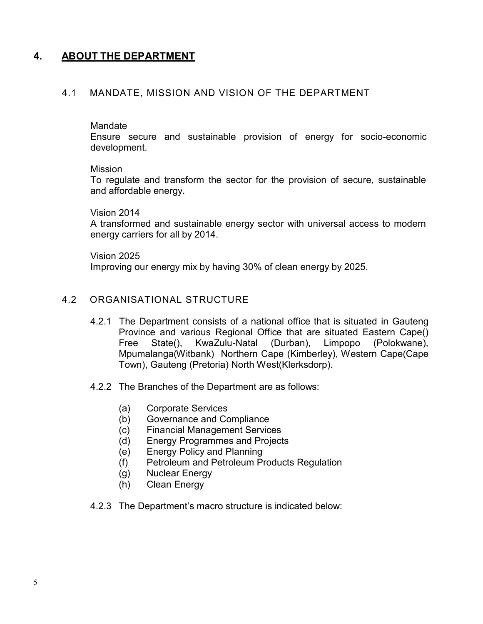# **4. ABOUT THE DEPARTMENT**

## 4.1 MANDATE, MISSION AND VISION OF THE DEPARTMENT

#### **Mandate**

Ensure secure and sustainable provision of energy for socio-economic development.

#### Mission

To regulate and transform the sector for the provision of secure, sustainable and affordable energy.

#### Vision 2014

A transformed and sustainable energy sector with universal access to modern energy carriers for all by 2014.

#### Vision 2025

Improving our energy mix by having 30% of clean energy by 2025.

### 4.2 ORGANISATIONAL STRUCTURE

- 4.2.1 The Department consists of a national office that is situated in Gauteng Province and various Regional Office that are situated Eastern Cape() Free State(), KwaZulu-Natal (Durban), Limpopo (Polokwane), Mpumalanga(Witbank) Northern Cape (Kimberley), Western Cape(Cape Town), Gauteng (Pretoria) North West(Klerksdorp).
- 4.2.2 The Branches of the Department are as follows:
	- (a) Corporate Services
	- (b) Governance and Compliance
	- (c) Financial Management Services
	- (d) Energy Programmes and Projects
	- (e) Energy Policy and Planning
	- (f) Petroleum and Petroleum Products Regulation
	- (g) Nuclear Energy
	- (h) Clean Energy
- 4.2.3 The Department's macro structure is indicated below: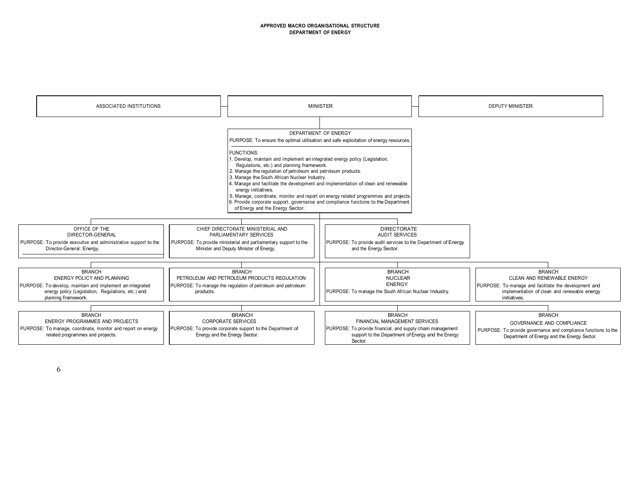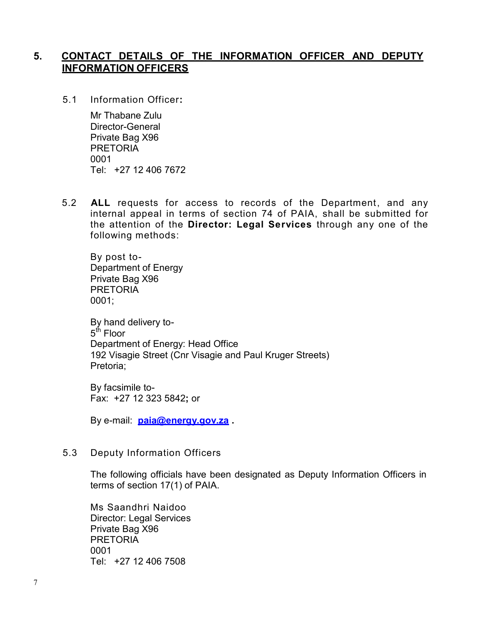# **5. CONTACT DETAILS OF THE INFORMATION OFFICER AND DEPUTY INFORMATION OFFICERS**

5.1 Information Officer:

Mr Thabane Zulu Director-General Private Bag X96 PRETORIA 0001 Tel: +27 12 406 7672

5.2 **ALL** requests for access to records of the Department, and any internal appeal in terms of section 74 of PAIA, shall be submitted for the attention of the **Director: Legal Services** through any one of the following methods:

By post to-Department of Energy Private Bag X96 PRETORIA 0001;

By hand delivery to-5<sup>th</sup> Floor Department of Energy: Head Office 192 Visagie Street (Cnr Visagie and Paul Kruger Streets) Pretoria;

By facsimile to-Fax: +27 12 323 5842**;** or

By e-mail: **[paia@energy.gov.za .](mailto:paia@energy.gov.za)**

## 5.3 Deputy Information Officers

The following officials have been designated as Deputy Information Officers in terms of section 17(1) of PAIA.

Ms Saandhri Naidoo Director: Legal Services Private Bag X96 PRETORIA 0001 Tel: +27 12 406 7508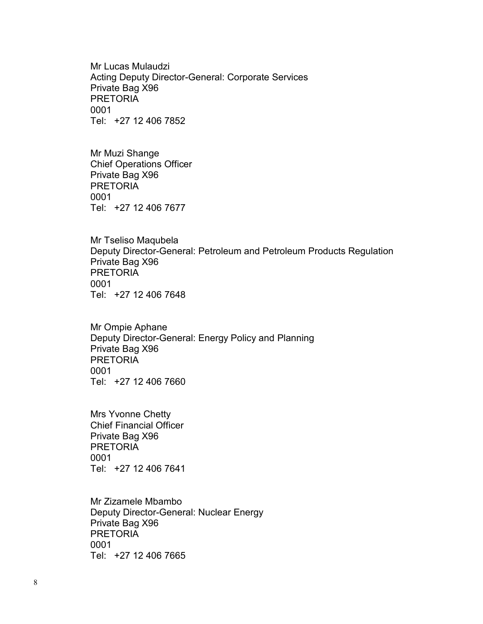Mr Lucas Mulaudzi Acting Deputy Director-General: Corporate Services Private Bag X96 PRETORIA 0001 Tel: +27 12 406 7852

Mr Muzi Shange Chief Operations Officer Private Bag X96 PRETORIA 0001 Tel: +27 12 406 7677

Mr Tseliso Maqubela Deputy Director-General: Petroleum and Petroleum Products Regulation Private Bag X96 PRETORIA 0001 Tel: +27 12 406 7648

Mr Ompie Aphane Deputy Director-General: Energy Policy and Planning Private Bag X96 PRETORIA 0001 Tel: +27 12 406 7660

Mrs Yvonne Chetty Chief Financial Officer Private Bag X96 PRETORIA 0001 Tel: +27 12 406 7641

Mr Zizamele Mbambo Deputy Director-General: Nuclear Energy Private Bag X96 **PRETORIA** 0001 Tel: +27 12 406 7665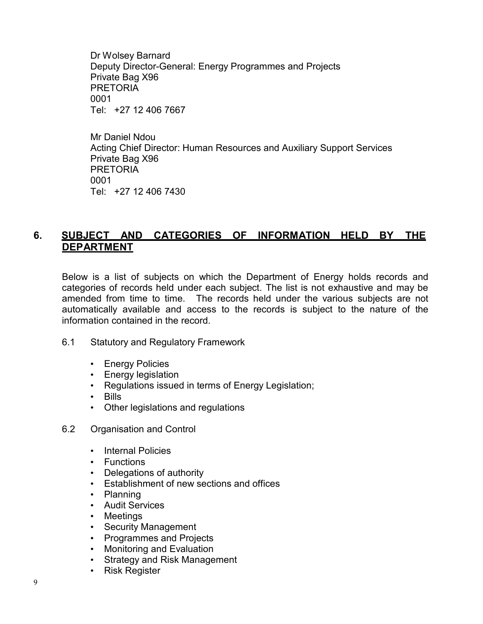Dr Wolsey Barnard Deputy Director-General: Energy Programmes and Projects Private Bag X96 PRETORIA 0001 Tel: +27 12 406 7667

Mr Daniel Ndou Acting Chief Director: Human Resources and Auxiliary Support Services Private Bag X96 PRETORIA 0001 Tel: +27 12 406 7430

# **6. SUBJECT AND CATEGORIES OF INFORMATION HELD BY THE DEPARTMENT**

Below is a list of subjects on which the Department of Energy holds records and categories of records held under each subject. The list is not exhaustive and may be amended from time to time. The records held under the various subjects are not automatically available and access to the records is subject to the nature of the information contained in the record.

- 6.1 Statutory and Regulatory Framework
	- Energy Policies
	- Energy legislation
	- Regulations issued in terms of Energy Legislation;
	- Bills
	- Other legislations and regulations
- 6.2 Organisation and Control
	- Internal Policies
	- Functions
	- Delegations of authority
	- Establishment of new sections and offices
	- Planning
	- Audit Services
	- Meetings
	- Security Management
	- Programmes and Projects
	- Monitoring and Evaluation
	- Strategy and Risk Management
	- Risk Register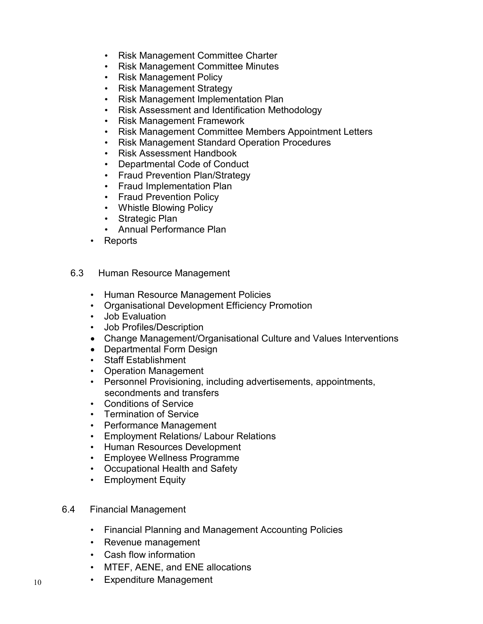- Risk Management Committee Charter
- Risk Management Committee Minutes
- Risk Management Policy
- Risk Management Strategy
- Risk Management Implementation Plan
- Risk Assessment and Identification Methodology
- Risk Management Framework
- Risk Management Committee Members Appointment Letters
- Risk Management Standard Operation Procedures
- Risk Assessment Handbook
- Departmental Code of Conduct
- Fraud Prevention Plan/Strategy
- Fraud Implementation Plan
- Fraud Prevention Policy
- Whistle Blowing Policy
- Strategic Plan
- Annual Performance Plan
- Reports
- 6.3 Human Resource Management
	- Human Resource Management Policies
	- Organisational Development Efficiency Promotion
	- Job Evaluation
	- Job Profiles/Description
	- Change Management/Organisational Culture and Values Interventions
	- Departmental Form Design
	- Staff Establishment
	- Operation Management
	- Personnel Provisioning, including advertisements, appointments, secondments and transfers
	- Conditions of Service
	- Termination of Service
	- Performance Management
	- Employment Relations/ Labour Relations
	- Human Resources Development
	- Employee Wellness Programme
	- Occupational Health and Safety
	- Employment Equity

## 6.4 Financial Management

- Financial Planning and Management Accounting Policies
- Revenue management
- Cash flow information
- MTEF, AENE, and ENE allocations
- Expenditure Management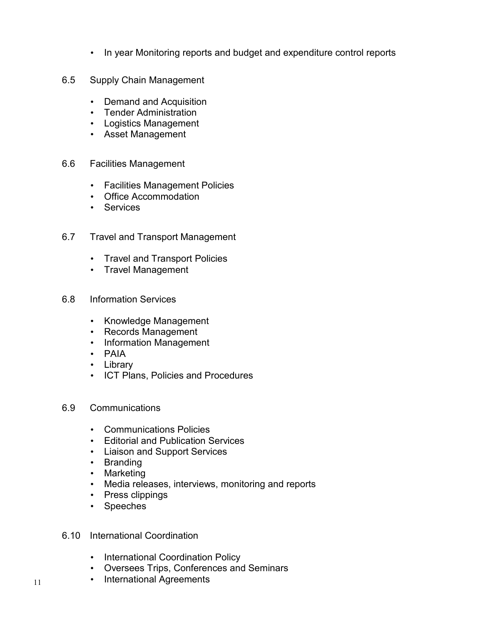- In year Monitoring reports and budget and expenditure control reports
- 6.5 Supply Chain Management
	- Demand and Acquisition
	- Tender Administration
	- Logistics Management
	- Asset Management
- 6.6 Facilities Management
	- Facilities Management Policies
	- Office Accommodation
	- Services
- 6.7 Travel and Transport Management
	- Travel and Transport Policies
	- Travel Management
- 6.8 Information Services
	- Knowledge Management
	- Records Management
	- Information Management
	- PAIA
	- Library
	- ICT Plans, Policies and Procedures
- 6.9 Communications
	- Communications Policies
	- Editorial and Publication Services
	- Liaison and Support Services
	- Branding
	- Marketing
	- Media releases, interviews, monitoring and reports
	- Press clippings
	- Speeches
- 6.10 International Coordination
	- International Coordination Policy
	- Oversees Trips, Conferences and Seminars
	- International Agreements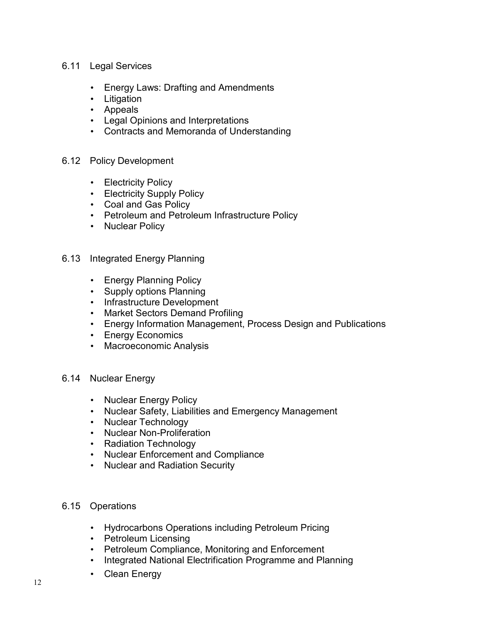## 6.11 Legal Services

- Energy Laws: Drafting and Amendments
- Litigation
- Appeals
- Legal Opinions and Interpretations
- Contracts and Memoranda of Understanding

## 6.12 Policy Development

- Electricity Policy
- Electricity Supply Policy
- Coal and Gas Policy
- Petroleum and Petroleum Infrastructure Policy
- Nuclear Policy
- 6.13 Integrated Energy Planning
	- Energy Planning Policy
	- Supply options Planning
	- Infrastructure Development
	- Market Sectors Demand Profiling
	- Energy Information Management, Process Design and Publications
	- Energy Economics
	- Macroeconomic Analysis
- 6.14 Nuclear Energy
	- Nuclear Energy Policy
	- Nuclear Safety, Liabilities and Emergency Management
	- Nuclear Technology
	- Nuclear Non-Proliferation
	- Radiation Technology
	- Nuclear Enforcement and Compliance
	- Nuclear and Radiation Security

## 6.15 Operations

- Hydrocarbons Operations including Petroleum Pricing
- Petroleum Licensing
- Petroleum Compliance, Monitoring and Enforcement
- Integrated National Electrification Programme and Planning
- Clean Energy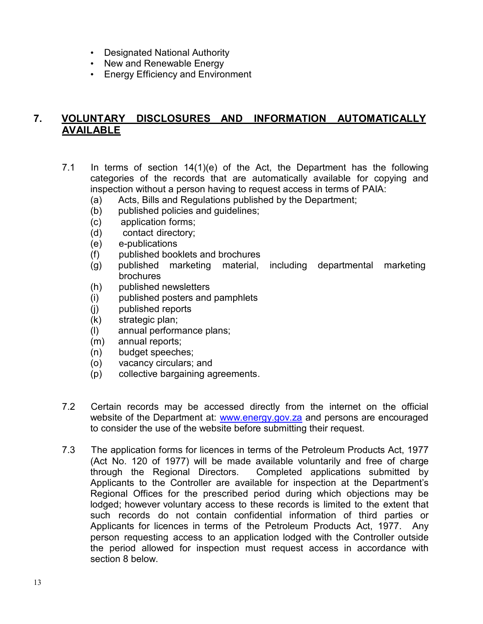- Designated National Authority
- New and Renewable Energy
- Energy Efficiency and Environment

# **7. VOLUNTARY DISCLOSURES AND INFORMATION AUTOMATICALLY AVAILABLE**

- 7.1 In terms of section 14(1)(e) of the Act, the Department has the following categories of the records that are automatically available for copying and inspection without a person having to request access in terms of PAIA:
	- (a) Acts, Bills and Regulations published by the Department;
	- (b) published policies and guidelines;
	- (c) application forms;
	- (d) contact directory;
	- (e) e-publications
	- (f) published booklets and brochures
	- (g) published marketing material, including departmental marketing brochures
	- (h) published newsletters
	- (i) published posters and pamphlets
	- (j) published reports
	- (k) strategic plan;
	- (l) annual performance plans;
	- (m) annual reports;
	- (n) budget speeches;
	- (o) vacancy circulars; and
	- (p) collective bargaining agreements.
- 7.2 Certain records may be accessed directly from the internet on the official website of the Department at: [www.energy.gov.za a](http://www.energy.gov.za/)nd persons are encouraged to consider the use of the website before submitting their request.
- 7.3 The application forms for licences in terms of the Petroleum Products Act, 1977 (Act No. 120 of 1977) will be made available voluntarily and free of charge through the Regional Directors. Completed applications submitted by Applicants to the Controller are available for inspection at the Department's Regional Offices for the prescribed period during which objections may be lodged; however voluntary access to these records is limited to the extent that such records do not contain confidential information of third parties or Applicants for licences in terms of the Petroleum Products Act, 1977. Any person requesting access to an application lodged with the Controller outside the period allowed for inspection must request access in accordance with section 8 below.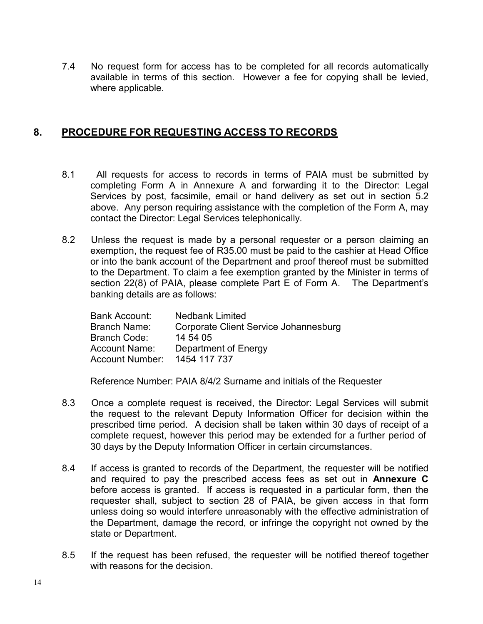7.4 No request form for access has to be completed for all records automatically available in terms of this section. However a fee for copying shall be levied, where applicable.

# **8. PROCEDURE FOR REQUESTING ACCESS TO RECORDS**

- 8.1 All requests for access to records in terms of PAIA must be submitted by completing Form A in Annexure A and forwarding it to the Director: Legal Services by post, facsimile, email or hand delivery as set out in section 5.2 above. Any person requiring assistance with the completion of the Form A, may contact the Director: Legal Services telephonically.
- 8.2 Unless the request is made by a personal requester or a person claiming an exemption, the request fee of R35.00 must be paid to the cashier at Head Office or into the bank account of the Department and proof thereof must be submitted to the Department. To claim a fee exemption granted by the Minister in terms of section 22(8) of PAIA, please complete Part E of Form A. The Department's banking details are as follows:

| Bank Account:   | <b>Nedbank Limited</b>                |
|-----------------|---------------------------------------|
| Branch Name:    | Corporate Client Service Johannesburg |
| Branch Code:    | 14 54 05                              |
| Account Name:   | Department of Energy                  |
| Account Number: | 1454 117 737                          |

Reference Number: PAIA 8/4/2 Surname and initials of the Requester

- 8.3 Once a complete request is received, the Director: Legal Services will submit the request to the relevant Deputy Information Officer for decision within the prescribed time period. A decision shall be taken within 30 days of receipt of a complete request, however this period may be extended for a further period of 30 days by the Deputy Information Officer in certain circumstances.
- 8.4 If access is granted to records of the Department, the requester will be notified and required to pay the prescribed access fees as set out in **Annexure C**  before access is granted. If access is requested in a particular form, then the requester shall, subject to section 28 of PAIA, be given access in that form unless doing so would interfere unreasonably with the effective administration of the Department, damage the record, or infringe the copyright not owned by the state or Department.
- 8.5 If the request has been refused, the requester will be notified thereof together with reasons for the decision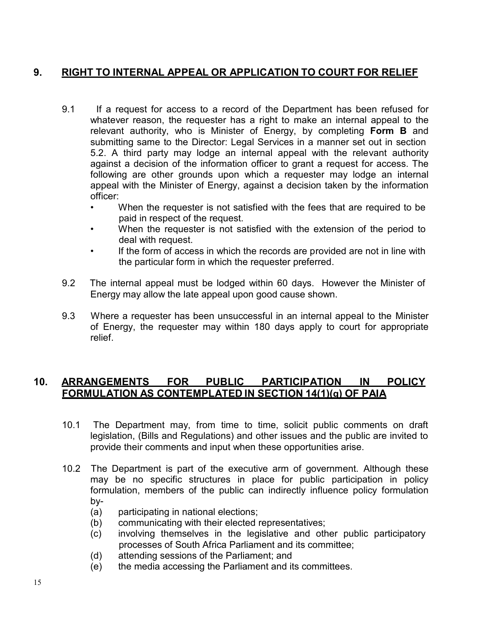# **9. RIGHT TO INTERNAL APPEAL OR APPLICATION TO COURT FOR RELIEF**

- 9.1 If a request for access to a record of the Department has been refused for whatever reason, the requester has a right to make an internal appeal to the relevant authority, who is Minister of Energy, by completing **Form B** and submitting same to the Director: Legal Services in a manner set out in section 5.2. A third party may lodge an internal appeal with the relevant authority against a decision of the information officer to grant a request for access. The following are other grounds upon which a requester may lodge an internal appeal with the Minister of Energy, against a decision taken by the information officer:
	- When the requester is not satisfied with the fees that are required to be paid in respect of the request.
	- When the requester is not satisfied with the extension of the period to deal with request.
	- If the form of access in which the records are provided are not in line with the particular form in which the requester preferred.
- 9.2 The internal appeal must be lodged within 60 days. However the Minister of Energy may allow the late appeal upon good cause shown.
- 9.3 Where a requester has been unsuccessful in an internal appeal to the Minister of Energy, the requester may within 180 days apply to court for appropriate relief.

# **10. ARRANGEMENTS FOR PUBLIC PARTICIPATION IN POLICY FORMULATION AS CONTEMPLATED IN SECTION 14(1)(g) OF PAIA**

- 10.1 The Department may, from time to time, solicit public comments on draft legislation, (Bills and Regulations) and other issues and the public are invited to provide their comments and input when these opportunities arise.
- 10.2 The Department is part of the executive arm of government. Although these may be no specific structures in place for public participation in policy formulation, members of the public can indirectly influence policy formulation by-
	- (a) participating in national elections;
	- (b) communicating with their elected representatives;
	- (c) involving themselves in the legislative and other public participatory processes of South Africa Parliament and its committee;
	- (d) attending sessions of the Parliament; and
	- (e) the media accessing the Parliament and its committees.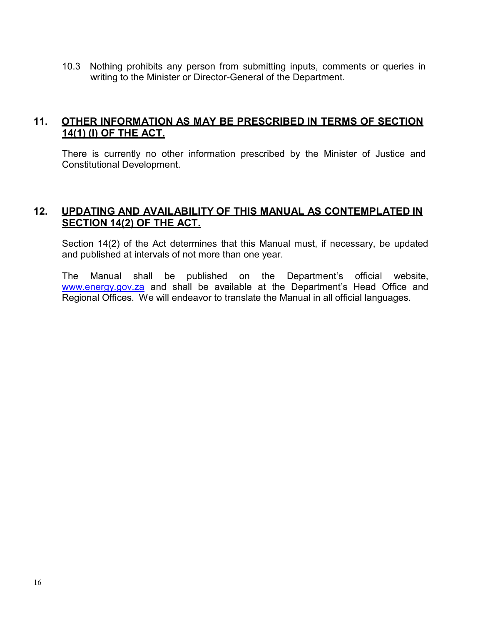10.3 Nothing prohibits any person from submitting inputs, comments or queries in writing to the Minister or Director-General of the Department.

# **11. OTHER INFORMATION AS MAY BE PRESCRIBED IN TERMS OF SECTION 14(1) (I) OF THE ACT.**

There is currently no other information prescribed by the Minister of Justice and Constitutional Development.

# **12. UPDATING AND AVAILABILITY OF THIS MANUAL AS CONTEMPLATED IN SECTION 14(2) OF THE ACT.**

Section 14(2) of the Act determines that this Manual must, if necessary, be updated and published at intervals of not more than one year.

The Manual shall be published on the Department's official website, [www.energy.gov.za a](http://www.energy.gov.za/)nd shall be available at the Department's Head Office and Regional Offices. We will endeavor to translate the Manual in all official languages.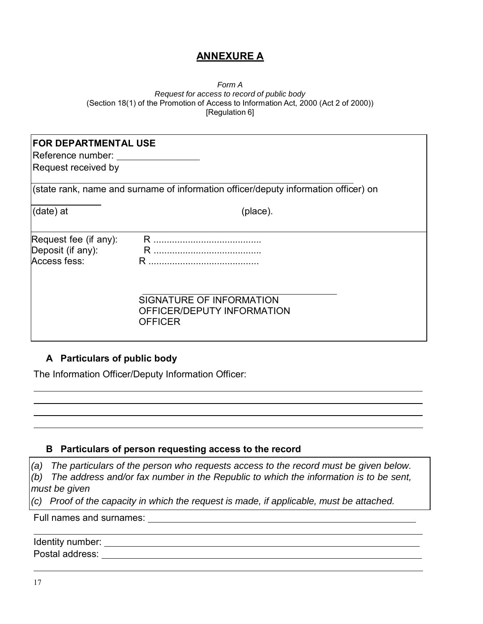# **ANNEXURE A**

#### *Form A Request for access to record of public body* (Section 18(1) of the Promotion of Access to Information Act, 2000 (Act 2 of 2000)) [Regulation 6]

| <b>FOR DEPARTMENTAL USE</b><br>Reference number:<br>Request received by |                                                                                     |
|-------------------------------------------------------------------------|-------------------------------------------------------------------------------------|
|                                                                         | (state rank, name and surname of information officer/deputy information officer) on |
| (date) at                                                               | (place).                                                                            |
| Request fee (if any):<br>Deposit (if any):<br>Access fess:              |                                                                                     |
|                                                                         | SIGNATURE OF INFORMATION<br>OFFICER/DEPUTY INFORMATION<br><b>OFFICER</b>            |

## **A Particulars of public body**

The Information Officer/Deputy Information Officer:

#### **B Particulars of person requesting access to the record**

*(a) The particulars of the person who requests access to the record must be given below. (b) The address and/or fax number in the Republic to which the information is to be sent, must be given*

*(c) Proof of the capacity in which the request is made, if applicable, must be attached.*

Full names and surnames:

Identity number:  $\blacksquare$ Postal address: Universely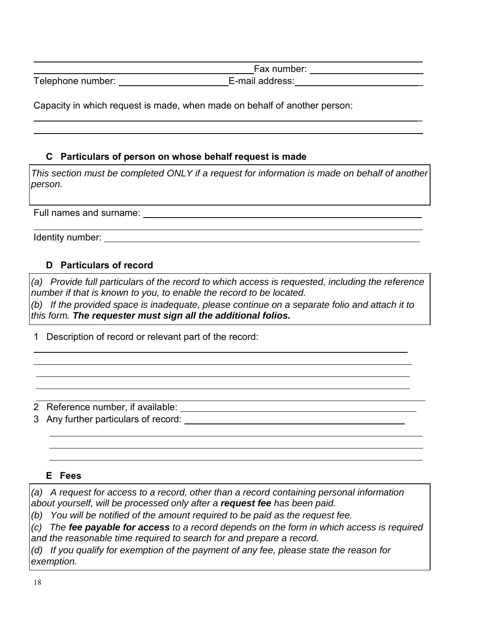|                   | Fax number:     |
|-------------------|-----------------|
| Telephone number: | E-mail address: |

\_

Capacity in which request is made, when made on behalf of another person:

# **C Particulars of person on whose behalf request is made**

*This section must be completed ONLY if a request for information is made on behalf of another person.*

Full names and surname:

Identity number:

# **D Particulars of record**

*(a) Provide full particulars of the record to which access is requested, including the reference number if that is known to you, to enable the record to be located.*

*(b) If the provided space is inadequate, please continue on a separate folio and attach it to this form. The requester must sign all the additional folios.*

1 Description of record or relevant part of the record:

2 Reference number, if available:

3 Any further particulars of record:

## **E Fees**

*(a) A request for access to a record, other than a record containing personal information about yourself, will be processed only after a request fee has been paid.*

*(b) You will be notified of the amount required to be paid as the request fee.*

*(c) The fee payable for access to a record depends on the form in which access is required and the reasonable time required to search for and prepare a record.*

*(d) If you qualify for exemption of the payment of any fee, please state the reason for exemption.*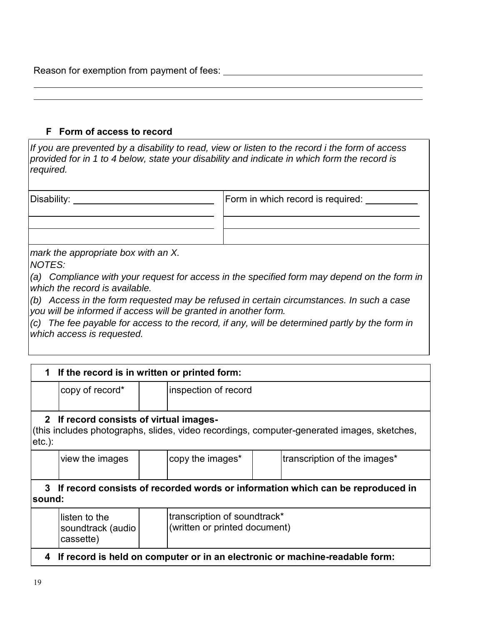Reason for exemption from payment of fees:

## **F Form of access to record**

*If you are prevented by a disability to read, view or listen to the record i the form of access provided for in 1 to 4 below, state your disability and indicate in which form the record is required.*

| Disability: | Form in which record is required: |
|-------------|-----------------------------------|
|             |                                   |
|             |                                   |

*mark the appropriate box with an X.* 

*NOTES:*

*(a) Compliance with your request for access in the specified form may depend on the form in which the record is available.*

*(b) Access in the form requested may be refused in certain circumstances. In such a case you will be informed if access will be granted in another form.*

*(c) The fee payable for access to the record, if any, will be determined partly by the form in which access is requested.*

| 1 If the record is in written or printed form:                                                                                                     |                      |                                                                                |  |  |  |
|----------------------------------------------------------------------------------------------------------------------------------------------------|----------------------|--------------------------------------------------------------------------------|--|--|--|
| copy of record*                                                                                                                                    | inspection of record |                                                                                |  |  |  |
| 2 If record consists of virtual images-<br>(this includes photographs, slides, video recordings, computer-generated images, sketches,<br>$etc.$ ): |                      |                                                                                |  |  |  |
| view the images                                                                                                                                    | copy the images*     | transcription of the images*                                                   |  |  |  |
| 3<br>ˈsound:                                                                                                                                       |                      | If record consists of recorded words or information which can be reproduced in |  |  |  |
| listen to the<br>soundtrack (audio<br>cassette)                                                                                                    |                      | transcription of soundtrack*<br>(written or printed document)                  |  |  |  |
| 4                                                                                                                                                  |                      | If record is held on computer or in an electronic or machine-readable form:    |  |  |  |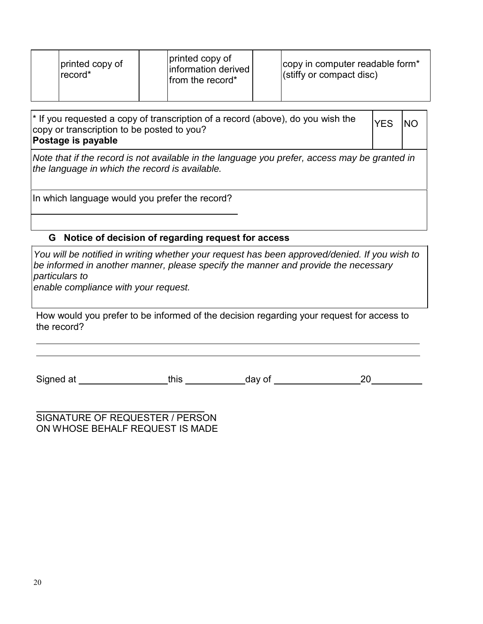| printed copy of<br>record* | printed copy of<br>information derived<br>from the record* | copy in computer readable form <sup>*</sup><br>(stiffy or compact disc) |
|----------------------------|------------------------------------------------------------|-------------------------------------------------------------------------|
|                            |                                                            |                                                                         |

\* If you requested a copy of transcription of a record (above), do you wish the copy or transcription to be posted to you? **Postage is payable** YES |NO

*Note that if the record is not available in the language you prefer, access may be granted in the language in which the record is available.*

In which language would you prefer the record?

## **G Notice of decision of regarding request for access**

*You will be notified in writing whether your request has been approved/denied. If you wish to be informed in another manner, please specify the manner and provide the necessary particulars to*

*enable compliance with your request.*

How would you prefer to be informed of the decision regarding your request for access to the record?

| Signed at |  |  |  |
|-----------|--|--|--|
|-----------|--|--|--|

SIGNATURE OF REQUESTER / PERSON ON WHOSE BEHALF REQUEST IS MADE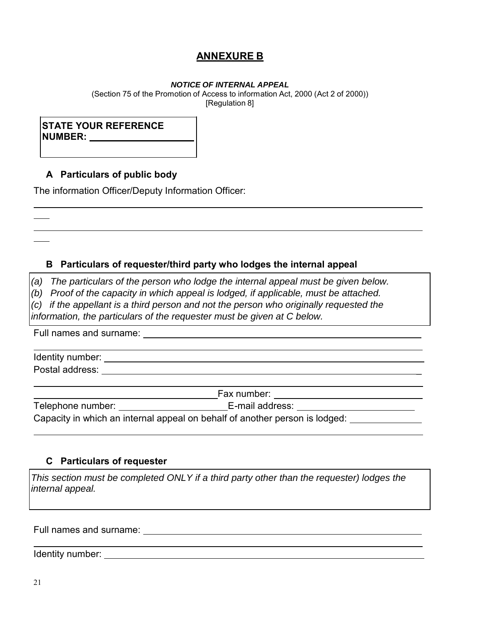# **ANNEXURE B**

#### *NOTICE OF INTERNAL APPEAL*

(Section 75 of the Promotion of Access to information Act, 2000 (Act 2 of 2000)) [Regulation 8]

# **STATE YOUR REFERENCE NUMBER:**

# **A Particulars of public body**

The information Officer/Deputy Information Officer:

## **B Particulars of requester/third party who lodges the internal appeal**

*(a) The particulars of the person who lodge the internal appeal must be given below.* 

*(b) Proof of the capacity in which appeal is lodged, if applicable, must be attached.* 

*(c) if the appellant is a third person and not the person who originally requested the* 

*information, the particulars of the requester must be given at C below.*

Full names and surname:

Identity number: Postal address: \_

|                   | Fax number:                                                                 |  |
|-------------------|-----------------------------------------------------------------------------|--|
| Telephone number: | E-mail address:                                                             |  |
|                   | Capacity in which an internal appeal on behalf of another person is lodged: |  |

## **C Particulars of requester**

*This section must be completed ONLY if a third party other than the requester) lodges the internal appeal.*

Full names and surname:

Identity number: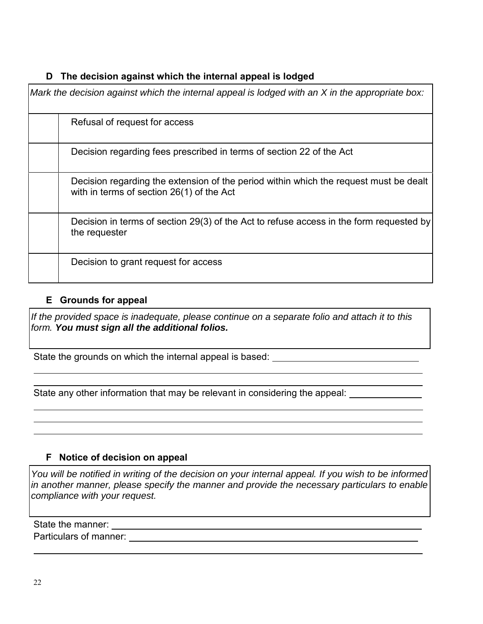# **D The decision against which the internal appeal is lodged**

| Mark the decision against which the internal appeal is lodged with an X in the appropriate box:                                    |
|------------------------------------------------------------------------------------------------------------------------------------|
| Refusal of request for access                                                                                                      |
| Decision regarding fees prescribed in terms of section 22 of the Act                                                               |
| Decision regarding the extension of the period within which the request must be dealt<br>with in terms of section 26(1) of the Act |
| Decision in terms of section 29(3) of the Act to refuse access in the form requested by<br>the requester                           |
| Decision to grant request for access                                                                                               |

# **E Grounds for appeal**

*If the provided space is inadequate, please continue on a separate folio and attach it to this form. You must sign all the additional folios.*

State the grounds on which the internal appeal is based:

State any other information that may be relevant in considering the appeal:

# **F Notice of decision on appeal**

*You will be notified in writing of the decision on your internal appeal. If you wish to be informed in another manner, please specify the manner and provide the necessary particulars to enable compliance with your request.*

State the manner: Particulars of manner: Department of the state of manners of manners of manners of the state of the state of the state of the state of the state of the state of the state of the state of the state of the state of the state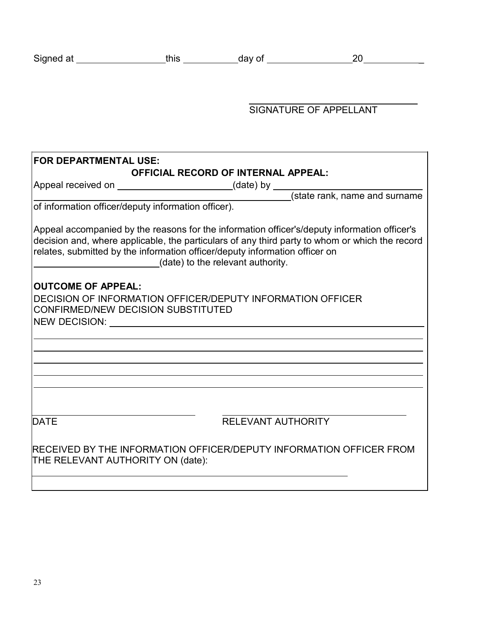| Signed at | ___ | $\mathbf{v}$<br>ື |  |
|-----------|-----|-------------------|--|
|-----------|-----|-------------------|--|

# SIGNATURE OF APPELLANT

| <b>FOR DEPARTMENTAL USE:</b>                                                                                                                      |                                                                                                                                                                                                                                                                                                                    |  |  |  |  |
|---------------------------------------------------------------------------------------------------------------------------------------------------|--------------------------------------------------------------------------------------------------------------------------------------------------------------------------------------------------------------------------------------------------------------------------------------------------------------------|--|--|--|--|
| <b>OFFICIAL RECORD OF INTERNAL APPEAL:</b>                                                                                                        |                                                                                                                                                                                                                                                                                                                    |  |  |  |  |
|                                                                                                                                                   |                                                                                                                                                                                                                                                                                                                    |  |  |  |  |
| Appeal received on _______________________(date) by _________(state rank, name and surname<br>of information officer/deputy information officer). |                                                                                                                                                                                                                                                                                                                    |  |  |  |  |
|                                                                                                                                                   | Appeal accompanied by the reasons for the information officer's/deputy information officer's<br>decision and, where applicable, the particulars of any third party to whom or which the record<br>relates, submitted by the information officer/deputy information officer on<br>(date) to the relevant authority. |  |  |  |  |
| <b>OUTCOME OF APPEAL:</b>                                                                                                                         |                                                                                                                                                                                                                                                                                                                    |  |  |  |  |
| DECISION OF INFORMATION OFFICER/DEPUTY INFORMATION OFFICER<br>CONFIRMED/NEW DECISION SUBSTITUTED                                                  |                                                                                                                                                                                                                                                                                                                    |  |  |  |  |
|                                                                                                                                                   |                                                                                                                                                                                                                                                                                                                    |  |  |  |  |
|                                                                                                                                                   |                                                                                                                                                                                                                                                                                                                    |  |  |  |  |
|                                                                                                                                                   |                                                                                                                                                                                                                                                                                                                    |  |  |  |  |
|                                                                                                                                                   |                                                                                                                                                                                                                                                                                                                    |  |  |  |  |
|                                                                                                                                                   |                                                                                                                                                                                                                                                                                                                    |  |  |  |  |
|                                                                                                                                                   |                                                                                                                                                                                                                                                                                                                    |  |  |  |  |
| DATE                                                                                                                                              | <b>RELEVANT AUTHORITY</b>                                                                                                                                                                                                                                                                                          |  |  |  |  |
| RECEIVED BY THE INFORMATION OFFICER/DEPUTY INFORMATION OFFICER FROM<br>THE RELEVANT AUTHORITY ON (date):                                          |                                                                                                                                                                                                                                                                                                                    |  |  |  |  |
|                                                                                                                                                   |                                                                                                                                                                                                                                                                                                                    |  |  |  |  |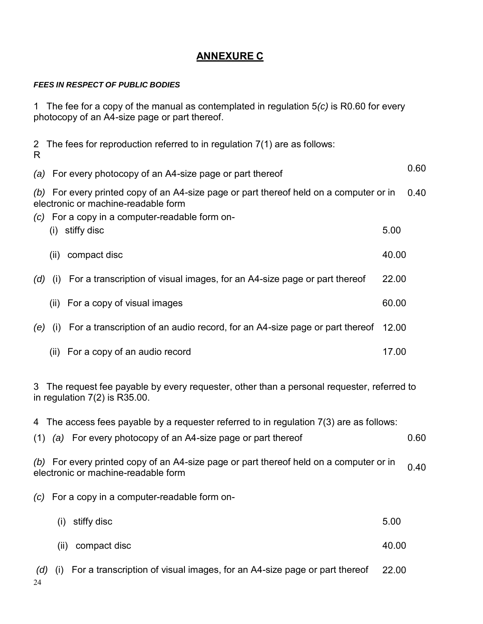# **ANNEXURE C**

## *FEES IN RESPECT OF PUBLIC BODIES*

1 The fee for a copy of the manual as contemplated in regulation 5*(c)* is R0.60 for every photocopy of an A4-size page or part thereof.

| $\mathbf{2}$<br>R                                                                                                                                                                       | The fees for reproduction referred to in regulation 7(1) are as follows:           |       |      |  |  |
|-----------------------------------------------------------------------------------------------------------------------------------------------------------------------------------------|------------------------------------------------------------------------------------|-------|------|--|--|
|                                                                                                                                                                                         | (a) For every photocopy of an A4-size page or part thereof                         |       | 0.60 |  |  |
| 0.40<br>(b) For every printed copy of an A4-size page or part thereof held on a computer or in<br>electronic or machine-readable form<br>(c) For a copy in a computer-readable form on- |                                                                                    |       |      |  |  |
|                                                                                                                                                                                         | stiffy disc<br>(i)                                                                 | 5.00  |      |  |  |
|                                                                                                                                                                                         | compact disc<br>(ii)                                                               | 40.00 |      |  |  |
| (d)                                                                                                                                                                                     | For a transcription of visual images, for an A4-size page or part thereof<br>(i)   | 22.00 |      |  |  |
|                                                                                                                                                                                         | (ii) For a copy of visual images                                                   | 60.00 |      |  |  |
| (e)                                                                                                                                                                                     | For a transcription of an audio record, for an A4-size page or part thereof<br>(i) | 12.00 |      |  |  |
|                                                                                                                                                                                         | (ii) For a copy of an audio record                                                 | 17.00 |      |  |  |

3 The request fee payable by every requester, other than a personal requester, referred to in regulation  $7(2)$  is  $R35.00$ .

| 4 The access fees payable by a requester referred to in regulation 7(3) are as follows:                                       |       |      |
|-------------------------------------------------------------------------------------------------------------------------------|-------|------|
| (a) For every photocopy of an A4-size page or part thereof<br>(1)                                                             |       | 0.60 |
| (b) For every printed copy of an A4-size page or part thereof held on a computer or in<br>electronic or machine-readable form |       | 0.40 |
| $(c)$ For a copy in a computer-readable form on-                                                                              |       |      |
| stiffy disc<br>(i)                                                                                                            | 5.00  |      |
| compact disc<br>(ii)                                                                                                          | 40.00 |      |
| For a transcription of visual images, for an A4-size page or part thereof<br>(d)<br>(1)<br>24                                 | 22.00 |      |